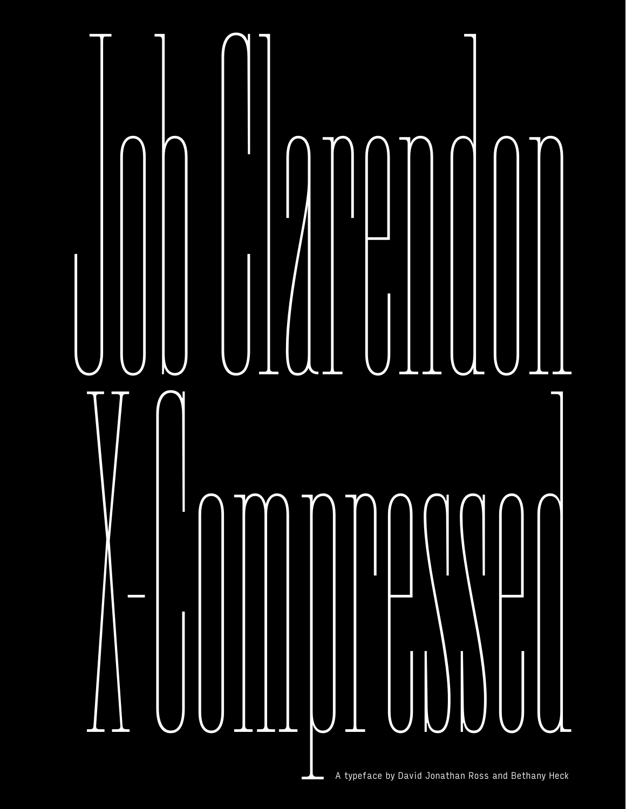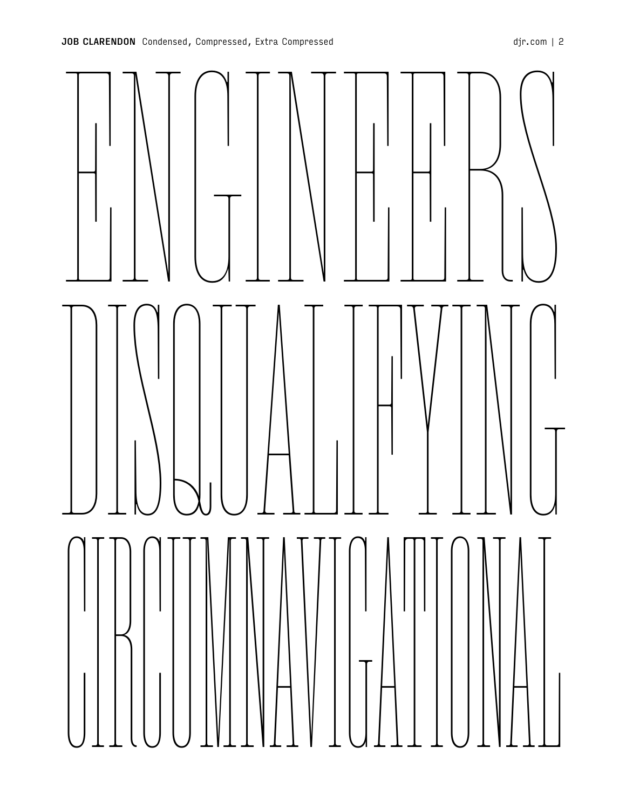

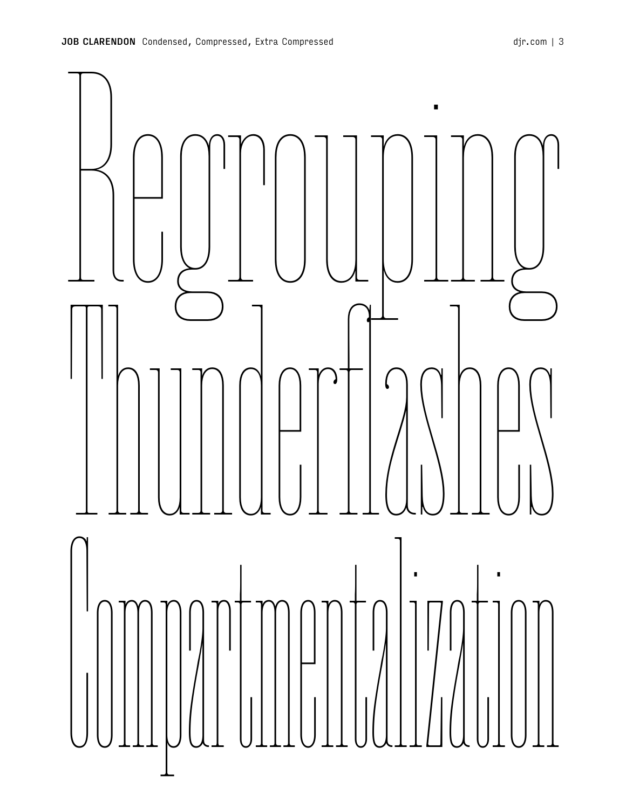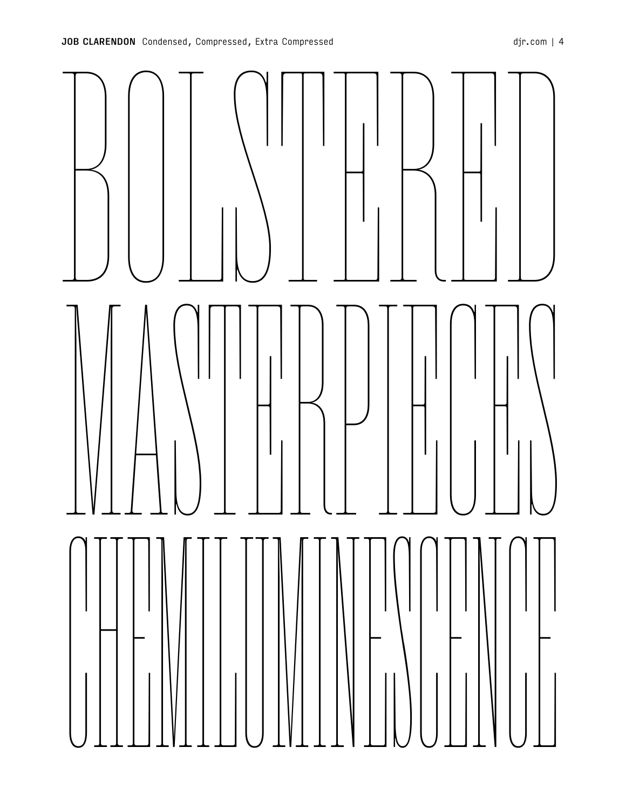

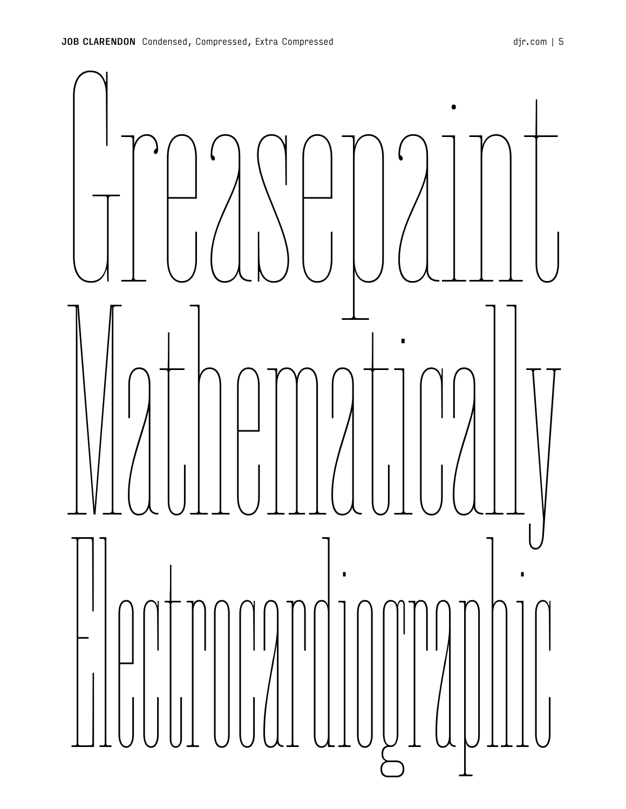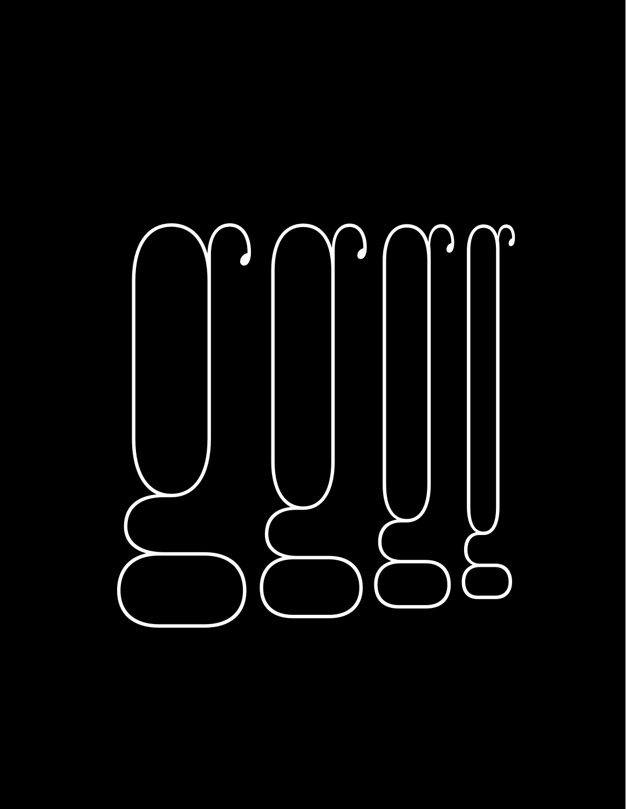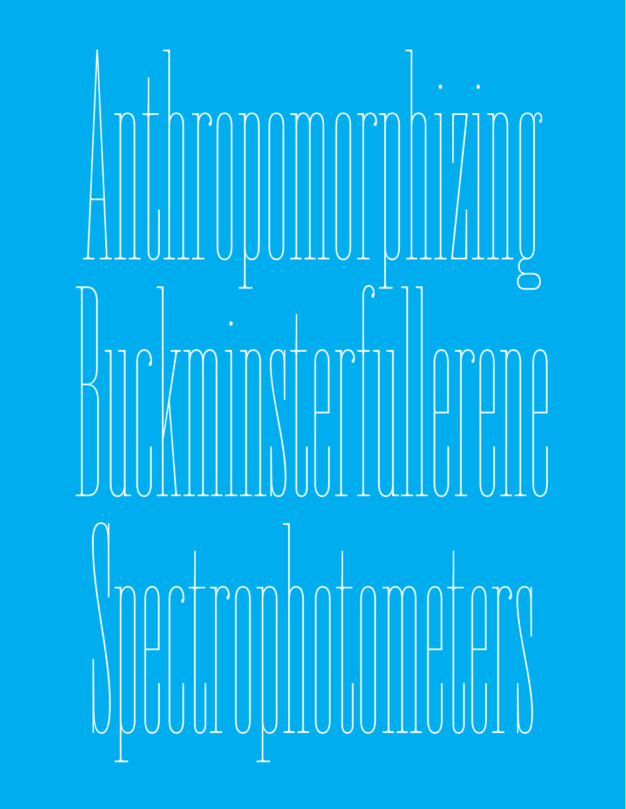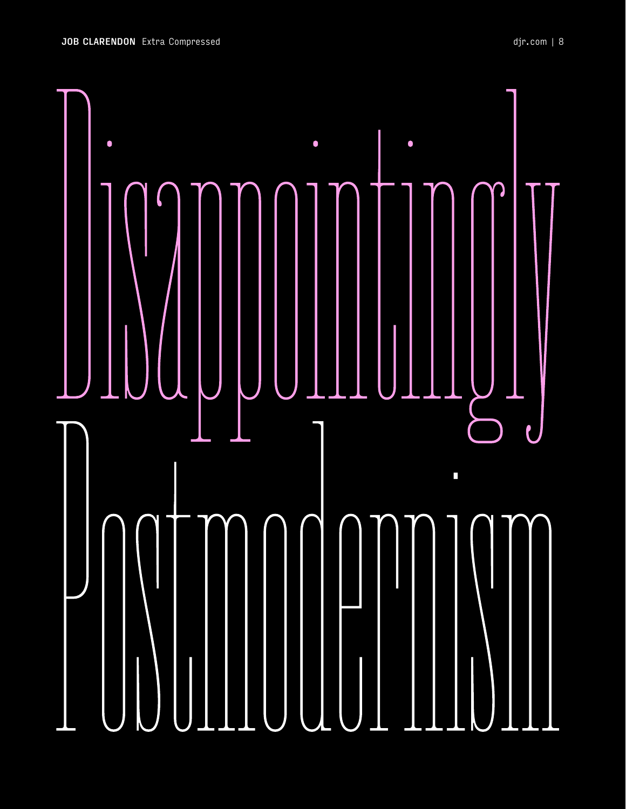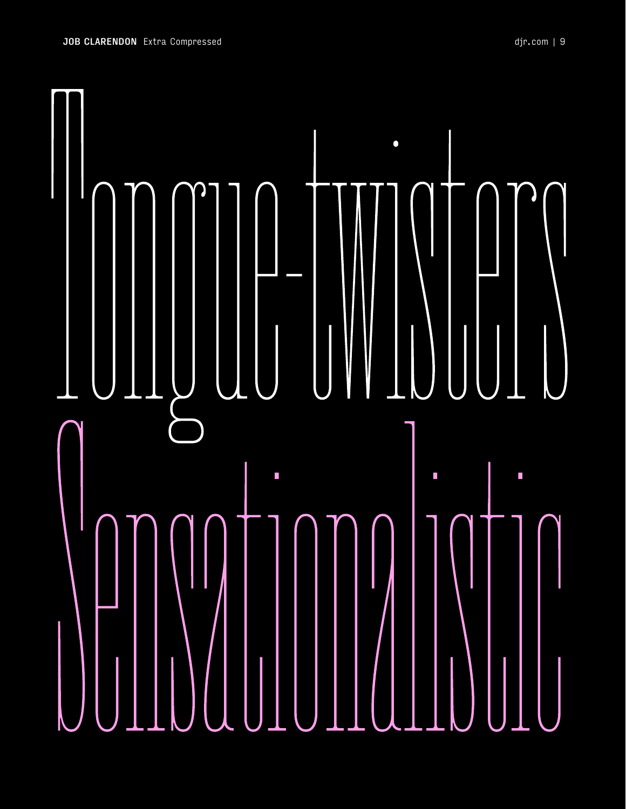

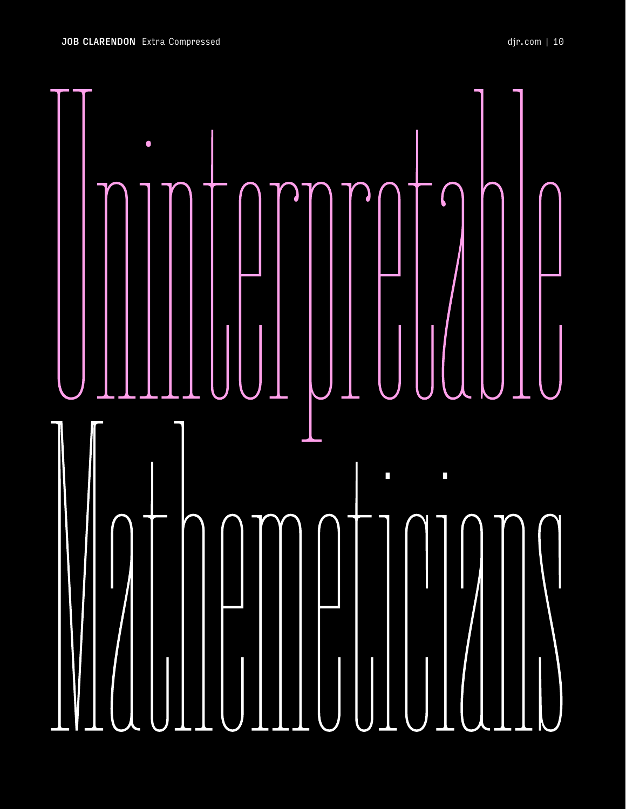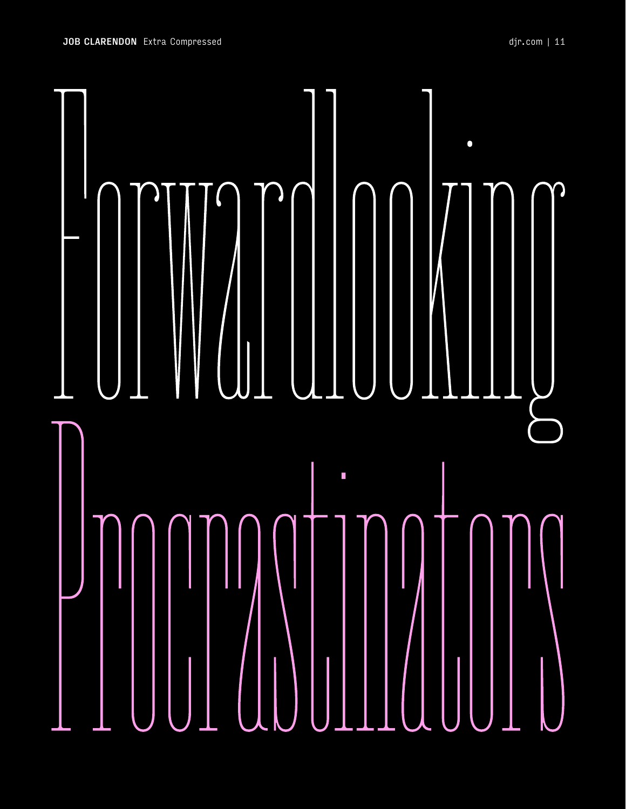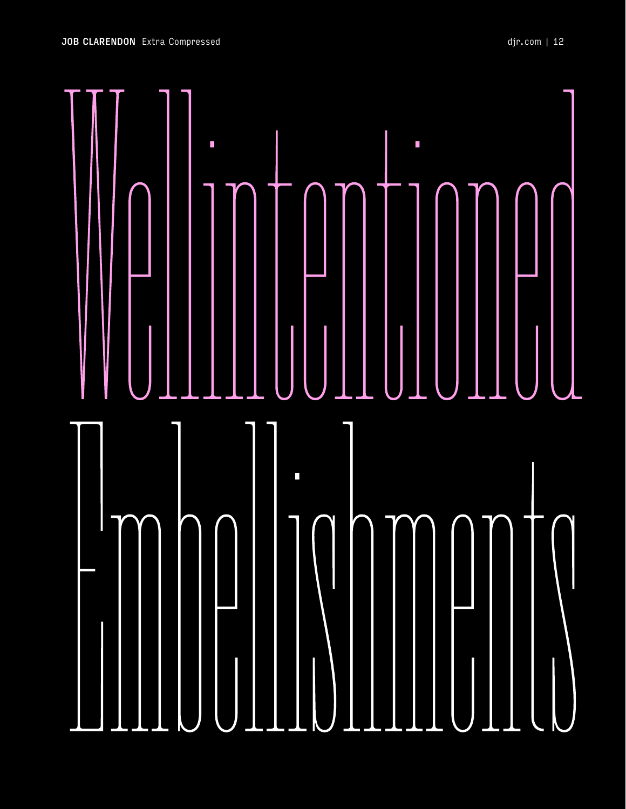

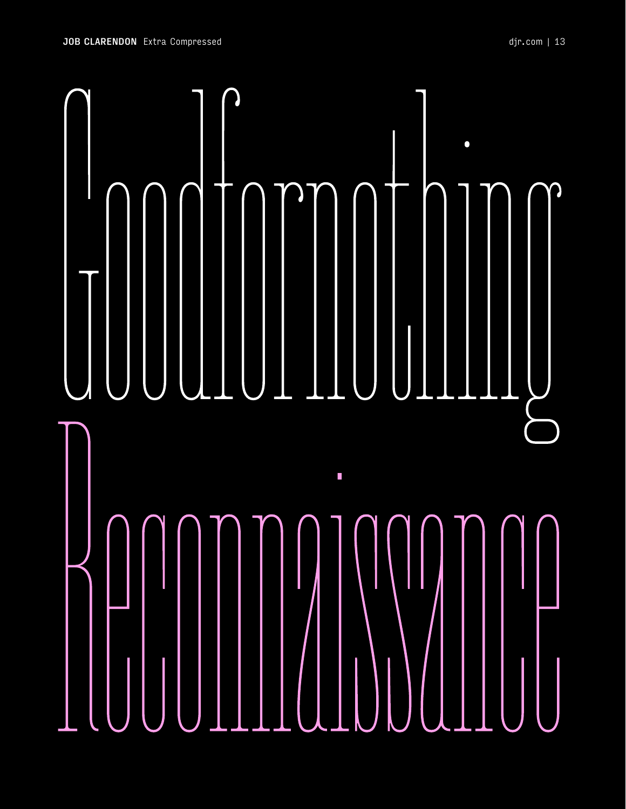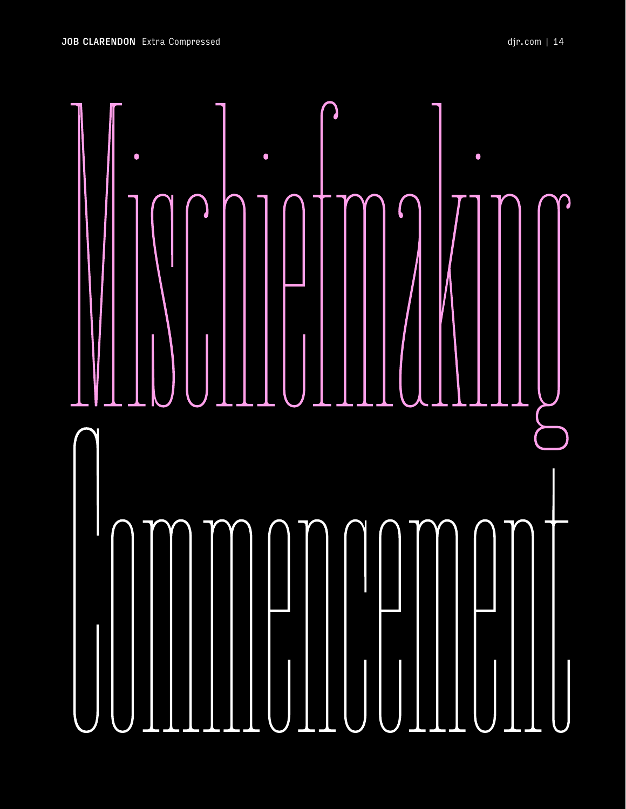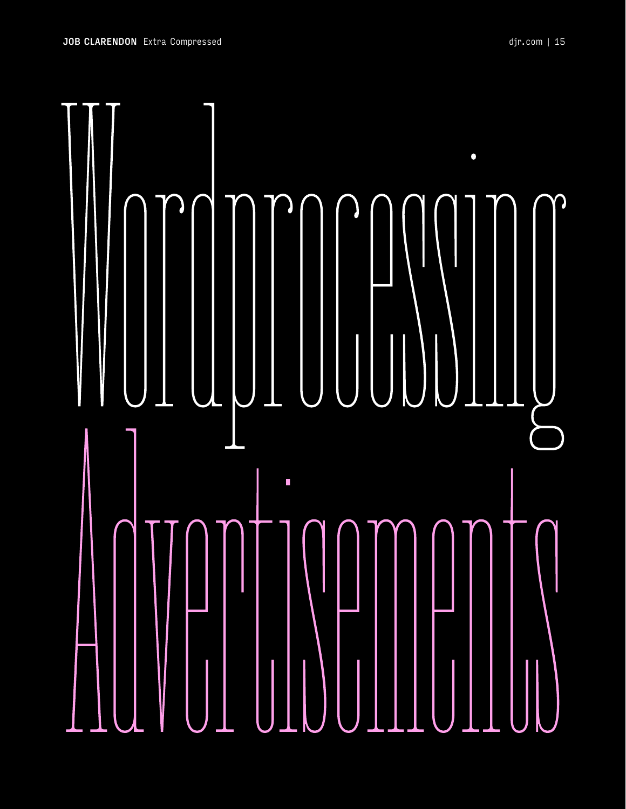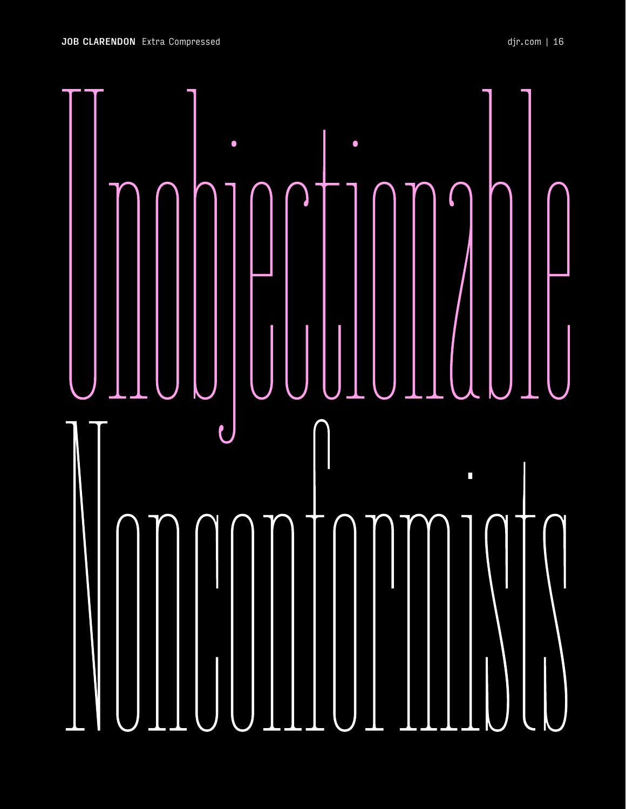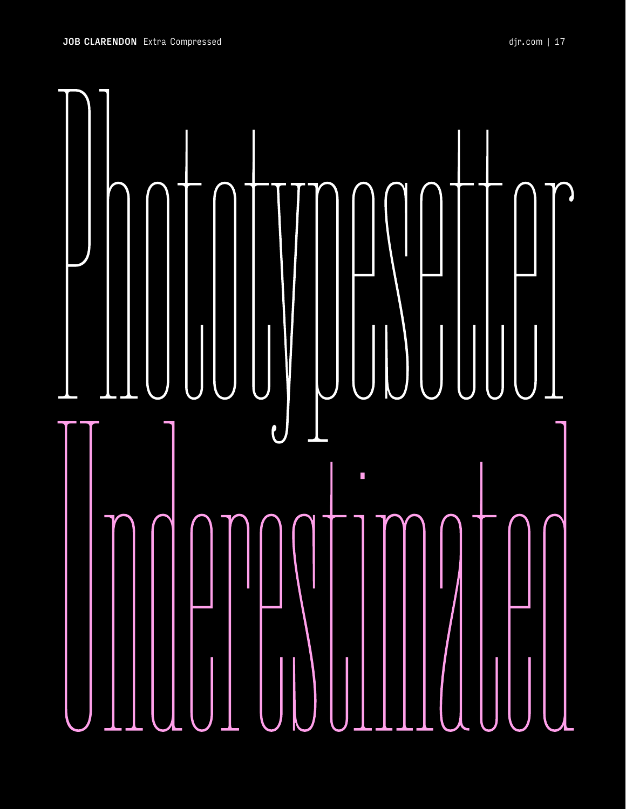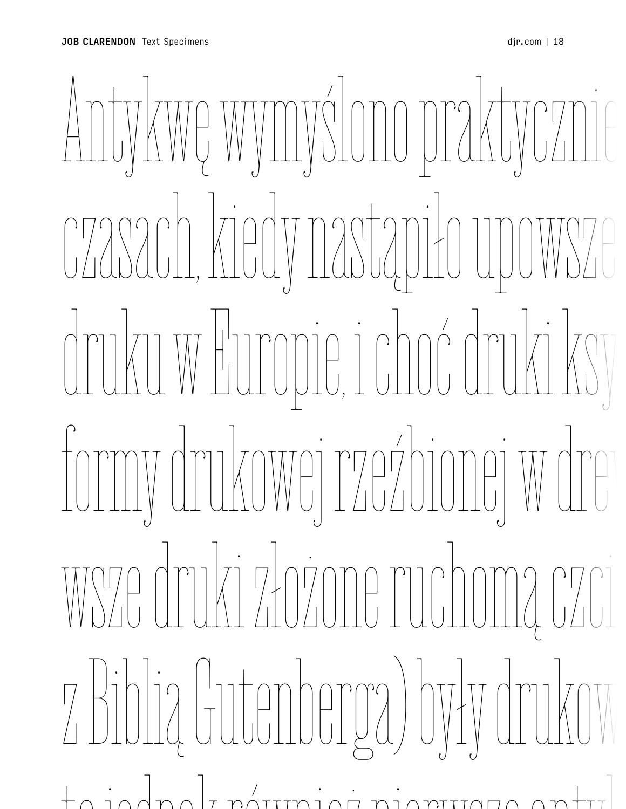## Antykwę wymyślono praktycznie czasach, kiedy nastąpiło upowsze druku w Europie, i choć druki ksylograficzne (z formy drukowej rzeźbionej w drewnie) oraz pierwsze druki złożone ruchomą czcionką (łącznie z Biblią Gutenberga) były drukowane gotykiem, to jednak również pierwsze antykwowe czcionki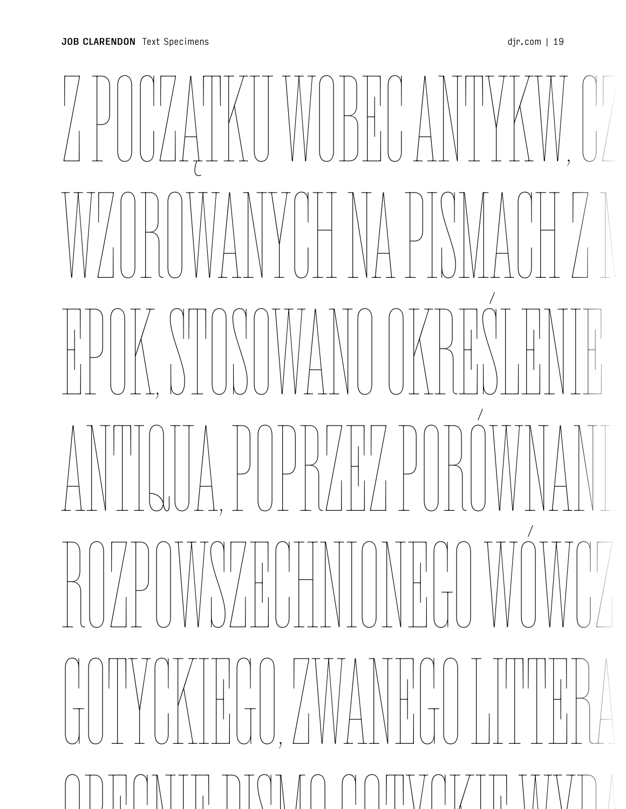Antykwę wymyślono praktycznie w tych samych czasach, kiedy nastąpiło upowszechnienie się druku w Europie, i choć druki ksylograficzne (z formy drukowej rzeźbionej w drewnie) oraz pierw złożone złożone ruchową z zakone ruchową z zakone ruchową z zakone ruchową z zakone ruchową z zakone ruchową<br>W zakone ruchową z zakone ruchową z zakone ruchową z zakone ruchową z zakone ruchową z zakone ruchową z zakone<br> z Biblią Gutenberga) były drukowane gotykiem, to jednak również pierwsze antykwowe czcionki WUBHU ANT WZOROWANYCH NA PISMACH Z MINIONYCH  $\left\{\left\{\left(\begin{array}{c} \left\{\left[1\right]\right\}\right]\left[\left[\left[\left[\left[\left[\left[\left[\left[\left[\{1\right]\right]\right]\right]\right]\right]\right]\right]\right\}\right]\left[\left[\left[\left[\left[\{1\right]\right]\right]\right]\right]\right\}\right\}$  $\mathbb{P}\left[\mathbb{P}\left[\mathbb{P}\left[\mathbb{P}\left[\mathbb{P}\left[\mathbb{P}\left[\mathbb{P}\left[\mathbb{P}\left[\mathbb{P}\left[\mathbb{P}\left[\mathbb{P}\left[\mathbb{P}\left[\mathbb{P}\left[\mathbb{P}\left[\mathbb{P}\left[\mathbb{P}\left[\mathbb{P}\left[\mathbb{P}\left[\mathbb{P}\left[\mathbb{P}\left[\mathbb{P}\left[\mathbb{P}\left[\mathbb{P}\left[\mathbb{P}\left[\mathbb{P}\left[\mathbb{P}\left[\mathbb{P}\left[\mathbb{P}\left[\mathbb{P}\left[\mathbb{P}\left[\mathbb{P}\left[\mathbb$ ROZPOWSZECHNIONEGO WÓWCZ GOTYCKIEGO, ZWANEGO LITTERA ODECNIE PICINO COMVATATI WYDA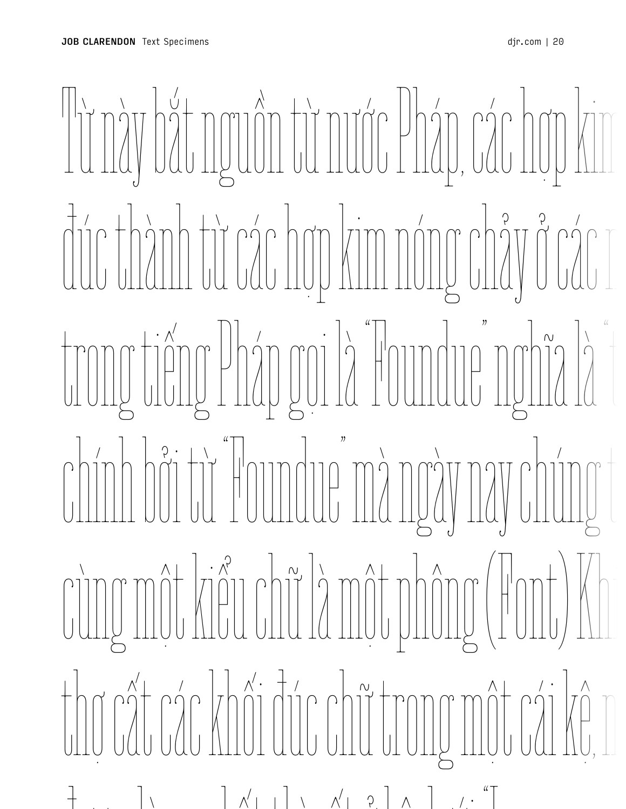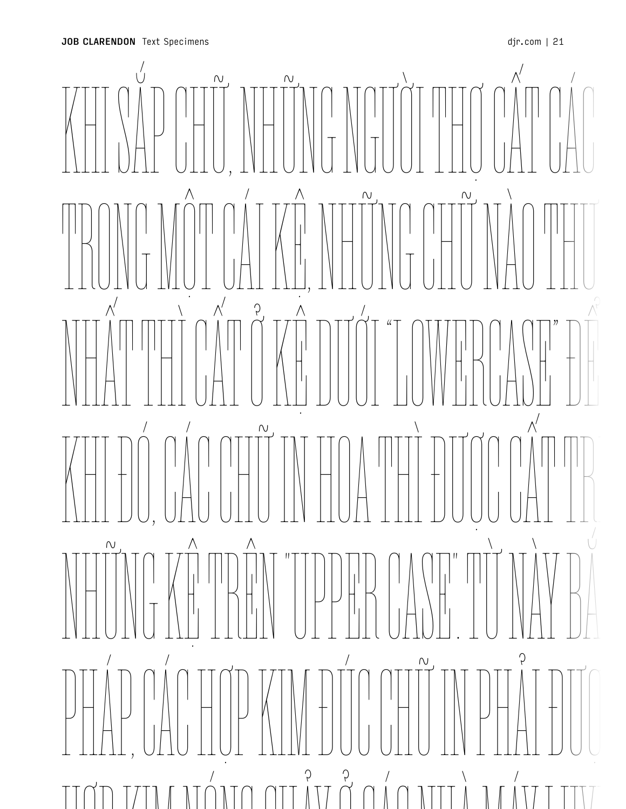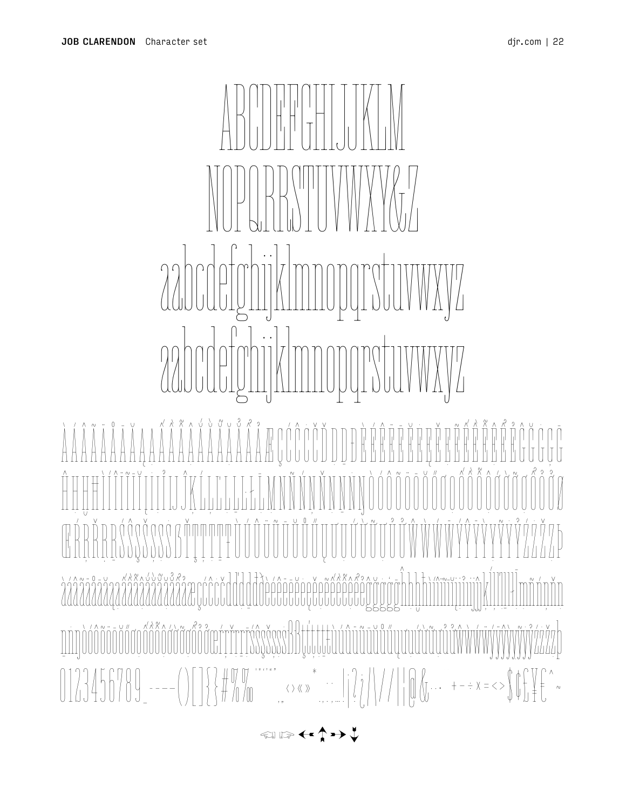## **SULLAWAY**

ŇŇŇŇN  $\text{minimize} \begin{equation} \left\{\left|\frac{1}{2}\right|\left|\frac{1}{2}\right|\right\}=\left|\frac{1}{2}\right|\left|\frac{1}{2}\right|\left|\frac{1}{2}\right|\left|\frac{1}{2}\right|\left|\frac{1}{2}\right|\right| \end{equation} \begin{equation} \left\{\left|\frac{1}{2}\right|\left|\frac{1}{2}\right|\right|\left|\frac{1}{2}\right|\left|\frac{1}{2}\right|\left|\frac{1}{2}\right|\right|\right\}=\left|\frac{1}{2}\right|\left|\frac{1}{2}\right|\left|\frac{1}{2}\right|\left|\frac{1}{2}\right|\left|\frac{1}{2}\right|\left|\frac{$ 

**金ା ા≫ ←←↑→→↓**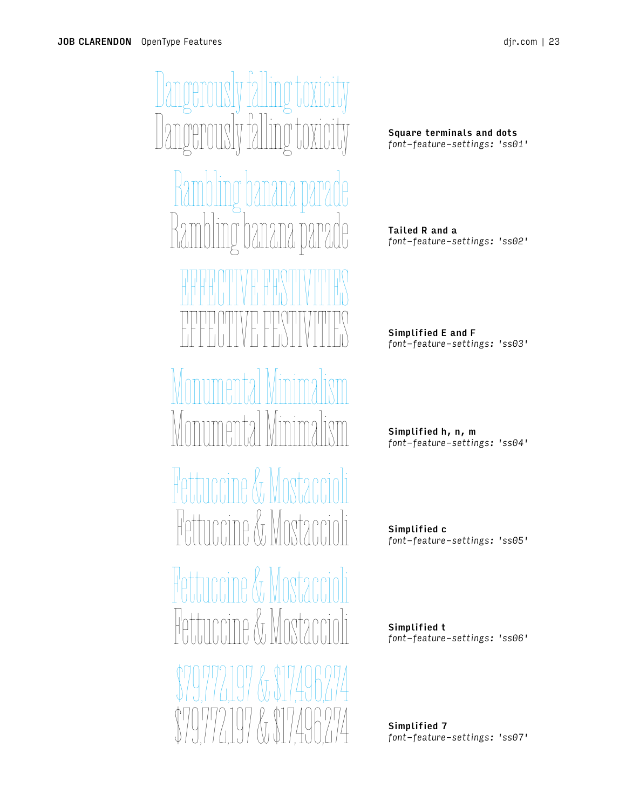Dangerously falling toxicity Jangerously fa Rambling banana parade Rambling banana parade EFFECTIVE FECTIVE FE EFFECTIVE FESTIVITIES Monumental Minimalism Monumental Minimalism Fettuccine & Mostaccioli Fettuccine & Mostaccioli Fettuccine & Mosta Hettuccine *K*r \$79,772,197 & \$17,496,274 \$79,772,197 & \$17,496,274

Square terminals and dots *font-feature-settings: 'ss01'*

Tailed R and a *font-feature-settings: 'ss02'*

Simplified E and F *font-feature-settings: 'ss03'*

Simplified h, n, m *font-feature-settings: 'ss04'*

Simplified c *font-feature-settings: 'ss05'*

Simplified t *font-feature-settings: 'ss06'*

Simplified 7 *font-feature-settings: 'ss07'*